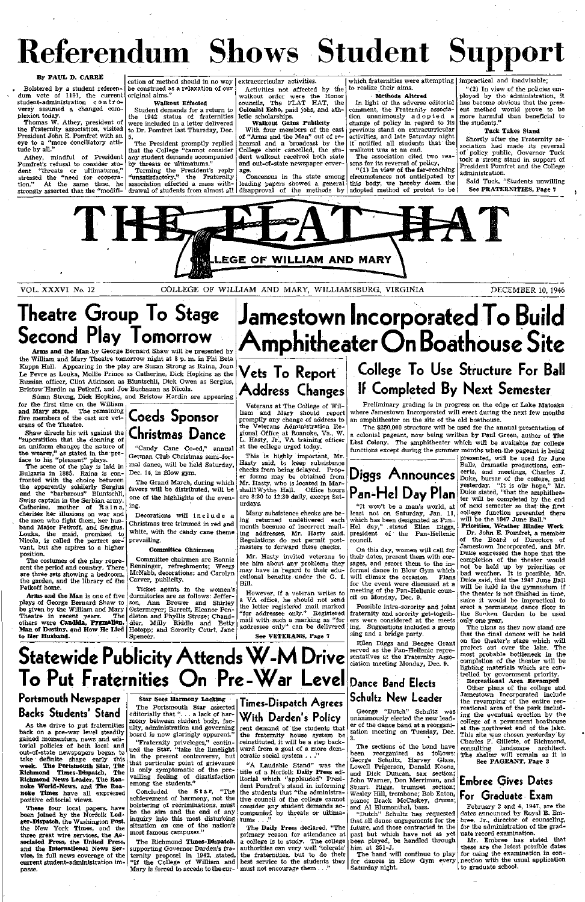# Referendum Shows Student Support

#### **By PAUL D. CARRE**

Bolstered by a student referendum vote of 1191, the current original aims." student-administration controversy assumed a changed complexion today.

Thomas W. Athey, president of the Fraternity association, visited President John E. Pomfret with an eye to **a** "more conciliatory attitude by all."

Athey, mindful of President Pomfret's refusal to consider student "threats or ultimatums," stressed the "need for cooperation." At the same time, he association effected a mass withstrongly asserted that the "modifi-

Terming the President's reply "unsatisfactory," the Fraternity

cation of method should in no way be construed as a relaxation of our

### **Walkout Effected**

Student demands for a return to the 1942 status of fraternities were included in a letter delivered to Dr. Pomfret last Thursday, Dec. 5.

The President promptly replied that the College "cannot consider any student demands accompanied by threats or ultimatums."

"(2) In view of the policies employed by the administration, it has become obvious that the present method would prove to be more harmful than beneficial to the students.'

extracurricular activities.

Activities not affected by the walkout order were the Honor councils, The FLAT HAT, the **Colonial Echo,** paid jobs, and athletic scholarships.

drawal of students from almost all disapproval of the methods by adopted method of protest to be Concensus in the state among leading papers showed a general

**Walkout Gains Publicity**  With four members of the cast of "Arms and the Man" out of rehearsal and a broadcast by the College choir cancelled, the student walkout received both state **and** out-of-state newspaper coverage.

which fraternities were attempting impractical and inadvisable; to realize their aims.

#### Methods **Altered**

for the first time on the William<br>and Mary stage. The remaining **and Mary** stage. The remaining five members of the cast are vet-**Coeds Sponsor**  erans of the Theatre.

In light of the adverse editorial comment, the Fraternity association unanimously adopted a change of policy in regard to its previous stand on extracurricular activities, and late Saturday night it notified all students that the walkout was at an end.

The association cited two reasons for its reversal of policy,

"(1) In view of the far-reaching circumstances not anticipated by this body, we hereby deem the

#### **Tuck Takes Stand**

Decorations will include a Christmas tree trimmed in red and white, with the candy cane theme prevailing.

Shortly after the Fraternity association had made its reversal of policy public, Governor Tuck took a strong stand in support of President Pomfret and the College administration.

Said Tuck, "Students unwilling See **FRATERNITIES,** Page 7



VOL. XXXVI No. 12 COLLEGE OF WILLIAM AND MARY, WILLIAMSBURG, VIRGINIA DECEMBER 10, 1946

# **Theatre Group To Stage Second Play Tomorrow**

**Arms and the Man** by George Bernard Shaw will be presented by the William and Mary Theatre tomorrow night at 8 p. m. in Phi Beta Kappa Hall. Appearing in the play are Susan Strong as Raina, Joan Le Fevre as Louka, Mollie Prince as Catherine, Dick Hopkins as the Russian officer, Clint Atkinson as Bluntschli, Dick Owen as Sergius, Bristow Hardin as Petkoff, and Joe Buchanan as Nicola.

Susan Strong, Dick Hopkins, and Bristow Hardin are appearing

Shaw directs his wit against the "superstition that the donning of an uniform changes the nature of the wearer," as stated in the preface to his "pleasant" plays.

The scene of the play is laid in Bulgaria in 1885. Raina is confronted with the choice between the apparently soldierly Sergius and the "barbarous" Bluntschli, Swiss captain in the Serbian army. Catherine, mother of Raina, cherises her illusions on war and the men who fight them, her husband Major Petkoff, and Sergius. Louka, the maid, promised to Nicola, is called the perfect servant, but she aspires to a higher position.

The costumes of the play represent the period and country. There are three sets showing **a** bedroom, the garden, and the library of the Petkoff home.

**Arms and the Man** is one of five plays of George Bernard Shaw to be given by the William and Mary<br>Theatre in recent years. The Theatre in recent years. others were **Candida, Pygmalion,**  others were **Candida, Pygmalion,** dier, Milly Riddle and Betty<br>**Man of Destiny, and How He Lied** Hotopp; and Sorority Court, Jane **to Her Husband.** 



"Candy Cane Co-ed," annual German Club Christmas semi-formal dance, will be held Saturday, Dec. 14, in Blow gym.

The Grand March, during which favors will be distributed, will be one of the highlights of the evening.

presented, will be used for June Balls, dramatic productions, concerts, and meetings, Charles J. Duke, bursar of the college, said yesterday. "It is our hope," Mr. Duke stated, "that the amphitheater will be completed by the end of next semester so that the first college function presented there will be the 1947 June Ball."

#### **Committee Chairmen**

Committee chairmen are Bonnie Renninger, refreshments; Weezy McNabb, decorations; and Carolyn Carver, publicity.

Ticket agents in the women's dormitories are as follows: Jefferson, Ann Brower and Shirley Ostermeyer; Barrett, Eleanor Pendleton and Phyllis Struse; Chand-Hotopp; and Sorority Court, Jane Spencer.

# **Jamestown Incorporated To Build Amphitheater On Boathouse Site**

## **Vets To Report Address Changes**

Veterans at The College of William and Mary should report promptly any change of address to the Veterans Administration Regional Office at Roanoke, Va., W. L. Hasty, Jr., VA training officer at the college urged today.

This is highly important, Mr. Hasty said, to keep subsistence checks from being delayed. Proper forms may be obtained from Mr. Hasty, who is located in Marshall? Wythe Hall. Office hours are 8:30 to 12:30 daily, except Saturdays.

Many subsistence checks are being returned undelivered each month because of incorrect mailing addresses, Mr. Hasty said. Regulations do not permit postmasters to forward these checks.

Mr. Hasty invited veterans to see him about any problems they may have in fegard to their educational benefits under the G. I. Bill.

However, if a veteran writes to a VA office, he should not send the letter registered mail marked<br>"for addressee only." Registered "for addressee only." mail with such a marking as "for addressee only" can be delivered

**See VETERANS, Page** 7

# **College To Use Structure For Ball If Completed By Next** Semester

Preliminary grading is in progress on the edge of Lake Matoaka where Jamestown Incorporated will erect during the next few months an amphitheater on the site of the old boathouse.

The \$250,000 structure will be used for the annual presentation of a colonial pageant, now being written by Paul Green, author of **The**  Lost Colony. The amphitheater which will be available for college functions except during the summer months when-the pageant is being

> **Priorities, Weather Hinder Work**  Dr. John E. Pomfret, a member

> of the Board of Directors of Jamestown Incorporated, and Mr. Duke expressed the hope that the completion of the theater would not be held up by priorities or bad weather. It is possible, Mr. Duke said, that the 1947 June Ball will be held in the gymnasium if the theater is not finished in time, since it would be impractical to erect a permanent dance floor in the Sunken Garden to be used only **one year.**

> The plans as they now stand are that the final dances will be held on the theater's stage which will project out over the lake. The most probable bottleneck in the completion of the theater will be

#### **Statewide Publicity Attends** ciation meeting Monday, Dec. 9. lighting materials which are controlled by government priority. **To Put Fraternities On Pre-War Level** Dance Band Elects **Recreational Area Revamped**  Other plans of the college and **Schultz New Leader**  Jamestown Incorporated include **Portsmouth Newspaper Star Sees Harmony Lacking Times-Dispatch Agrees**  the revamping of the entire rec-The Portsmouth **Star** asserted reational area of the park includ-**Backs Students' Stand**  George "Dutch" Schultz was editorially that "... a lack of haring the eventual erection by the With Darden's Policy unanimously elected the new leadmony between student body, faccollege of a permanent boathouse As the drive to put fraternities er of the dance band at a reorganiulty, administration and governing rent demand of the students that at the- northwest end of the lake. zation meeting on Tuesday, Dec. back on **a** pre-war level steadily board is now glaringly apparent." This site was chosen yesterday by the fraternity house system be gained momentum, news and edi-3. reinstituted, it will be a step back-Charles F. Gillette, of Richmond, "Fraternity priveleges," contintorial policies of both local and The sections of the band have consulting landscape architect. ward from a goal of a more demued the Star, "take the limelight out-of-state newspapers began to been reorganized as follows: in the present controversy, but ocratic social system . . . The shelter will remain as it is take definite shape early this George Schultz, Harvey Glass, **See PAGEANT, Page 3**  that particular point of grievance "A Laudable Stand" was the week. **The Portsmouth Star, The**  Lowell Prigerson, Donald Koons, is only symptomatic of the pretitle of a Norfolk **Daily Press** ed-**Richmond Times-Dispatch, The**  and Dick Duncan, sax section; vailing feeling of disatisfaction itorial which "applauded" Presi-**Richmond News Leader, The Roa-**John Warner, Don Merriman, and **Embree Gives Dates**  among the students." **noke World-News,** and **The Roa**dent Pomfret's stand in informing Stuart Riggs, trumpet section; Concluded the Star, "The the students that "the administra-Wesley Hill, trombone; Bob Eaton, **noke Times** have all expressed **For Graduate Exam**  achievement of harmony, not the positive editorial views. tive council of the college cannot piano; Brack McCaskey, drums; bolstering of recriminations, must consider any student demands ac-February 3 and 4, 1947, are the These four local papers, have and Al Blumenthal, bass. be the aim and the end of any companied by threats or ultima-"Dutch" Schultz has requested dates announced by Royal B. Embeen **joined** by the Norfolk **Led**inquiry into this most disturbing tums . . ." that all dance engagements for the bree, Jr., director of counseling, **ger-Dispatch,** the Washington **Post,**  situation on one of the nation's future, and those contracted in the for the administration of the grad-The **Daily Press** declared, "The the **New** York **Times,** and the most famous campuses." past but which have not as yet uate record examination. three great wire services, the **As**primary reason for attendance at been played, be handled through Mr. Embree has stated that **sociated Press, the United Press,**  The Richmond **Times-Dispatch, a** college is to study. The college these are the latest possible dates him at 251-J. **and the International News Ser**supporting Governor Darden's fraauthorities can very well 'tolerate' The band will continue to play for using the examination in conthe fraternities, but to do their **vice,** in full news coverage of the ternity proposel in 1942, stated, "If the College of William and best service to the students they for dances in Blow Gym every nection with the usual application **current** student-administration imto graduate school. Mary is forced to accede to the cur-  $^{\mathsf{I}}$  must not encourage them  $\ldots$  ." Saturday night. passe.  $\sim 10^{-1}$



"It won't be a man's world, at least not on Saturday, Jan. 11, which has been designated as Pan-Hel day," .stated Ellen Diggs, president of the Pan-Hellenic council.

On this day, women will call for their dates, present them with corsages, and escort them to the informal dance in Blow Gym which will climax the occasion. Plans for the event were discussed at a meeting of the Pan-Hellenic council on Monday, Dec. 9.

Possible intra-sorority and joint fraternity and sorority get-togethers were considered at the meets ing. Suggestions included a group sing and a bridge party.

Ellen Diggs and Beegee Grant served as the Pan-Hellenic representatives at the Fraternity Asso-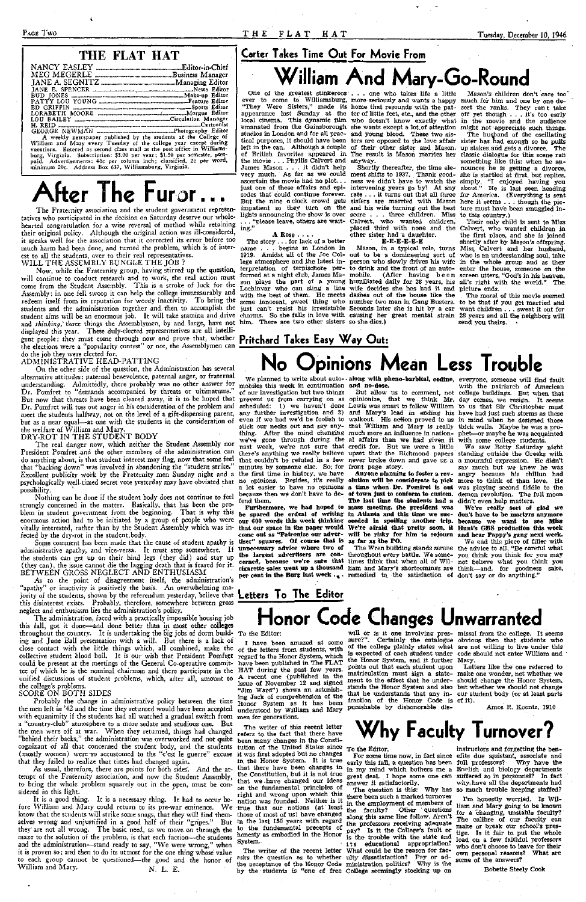### THE FLAT HAT

| IANE E. SPENCER <b>Example 2008</b> News Editor                           |  |
|---------------------------------------------------------------------------|--|
| BUD JONES <b>Example 2018</b> Make-up Editor                              |  |
|                                                                           |  |
|                                                                           |  |
| LORABETH MOORE                                                            |  |
| LOU BAILEY _______________________________Circulation Manager             |  |
|                                                                           |  |
|                                                                           |  |
| A weekly newspaper published by the students at the College of            |  |
| William and Mary every Tuesday of the college year except during          |  |
| vacations. Entered as second class mail at the post office in Williams-   |  |
| burg, Virginia. Subscription: \$3.00 per year; \$1.50 per semester, post- |  |
| paid. Advertisements: 40c per column inch: classified, 2c per word,       |  |

The Fraternity association and the student government representatives who participated in the decision on Saturday deserve our wholehearted congratulation for a wise reversal of method while retaining their original policy. Although the original action was ill-considered, it speaks well for the association that it corrected its error before too much harm had been done, and turned the problem, which is of interest to all the students, over to their real representatives. WILL THE ASSEMBLY BUNGLE THE IOB ?

minimum 20c. Address Box 637, Williamsburg, Virginia.

### **Carter Takes Time Out For Movie From**

**After The Furor • •** 

On the other side of the question, the Administration has several alternative attitudes: paternal benevolence, paternal anger, or fraternal understanding. Admittedly, there probably was no other answer for Dr. Pomfret to "demands accompanied by threats or ultimatums." But now that threats have been cleared away, it is to be hoped that Dr. Pomfret will toss out anger in his consideration of the problem and meet the students halfway, not on the level of a gift-dispensing parent, but as a near equal—at one with the students in the consideration of the welfare of William and Mary.

### DRY-ROT IN THE STUDENT BODY

Now, while the Fraternity group, having stirred up the question, will continue to conduct research and to work, the real action must come from the Student Assembly. This is a stroke of luck for the Assembly: in one fell swoop it can help the college immeasurably and redeem itself from its reputation for wordy inactivity. To bring the students and the administration together and, then to accomplish the student aims will be an enormous job. It will take stamina and drive and *thinking*, three things the Assemblymen, by and large, have not him. There are two other sisters so she dies.) displayed this year. These duly-elected representatives are all intelligent people; they must come through now and prove that, whether **Pritchard Takes Easy Way Out:**  the elections were a "popularity contest" or not, the Assemblymen can do the job they were elected for.

#### ADMINISTRATIVE HEAD-PATTING

Some comment has been made that the cause of student apathy is administrative apathy, and vice-versa. It must stop somewhere. If the students can get up on their hind legs (they did) and stay up (they can), the issue cannot die the lagging death that is feared for it. BETWEEN GROSS NEGLECT AND ENTHUSIASM

As usual, therefore, there are points for both sides. And the attempt of the Fraternity association, and now the Student Assembly, to bring the whole problem squarely out in the open, must be considered in this light.

It is a good thing. It is a necessary thing. It had to occur before William and Mary could return to its pre-war eminence. We know that the students will strike some snags, that they will find themselves wrong and unjustified in a good half of their "gripes." But in the last 150 years with regard they are not all wrong. The basic need, as we move on through the maze to the solution of the problem, is that each faction—the students and the administration—stand ready to say, "We were wrong," when it is proven so; and then to do its utmost for the one thing whose value to each group cannot be questioned—the good and the honor of William and Mary. N. L. E.

The real danger now, which neither the Student Assembly nor President Pomfret and the other members of the administration can do anything about, is that student interest may flag, now that some feel that "backing down" was involved in abandoning the "student strike." Excellent publicity work by the Fraternity men Sunday night and a psychologically w.ell-timed secret vote yesterday may have obviated that no opinions. Besides, it's really **olution will be considerate to pick**  more to think of than love. He possibility.

Nothing can be done if the student body does not continue to feel strongly concerned in the matter. Basically, that has been the problem in student government from the beginning. That is why this enormous action had to be initiated by a group of people who were our 600 words this week thinking ceeded in spoiling another trip. because we want to see Miss vitally interested, rather than by the Student Assembly which was infected by the dry-rot in the student.body.

**William And Mary-Go-Round**  studios in London and for all practical purposes, it should have been left in the can. Although a couple of British favorites appeared in the movie . . . Phyllis Calvert and James Mason .. . it didn't help very much. As far as we could ascertain the movie had no plot. . . just one of those affairs and episodes that could continue forever. But the nine o clock crowd gets impatient so they turn on the lights announcing the show is over . . . "please leave, others are waiting."

As to the point of disagreement itself, the administration's "apathy" or inactivity is positively the basis. An overwhelming majority of the students, shown by the referendum yesterday, believe that **Letters To The Editor**  this disinterest exists. Probably, therefore, somewhere between gross neglect and enthusiasm lies the administration's policy.

Mason, in a typical role, turns to drink and the front of an auto-(After having been

"They Were Sisters," made its home that resounds with the pat- sert the ranks. They can t take appearance last Sunday at the ter of little feet, etc., and the other off yet though . . . it's too early local cinema. This dynamic film who doesn't know exactly what in the movie and the audience emanated from the Gainsborough she wants except a lot of attention might not appreciate such things. ters are opposed to the love affair sister has had enough so he pulls of their other sister and Mason. up stakes and gets a divorce. The ment shifts to 1937. . Thank good-she is startled at first, but replies, Mason's children don't care too" The husband of the oscillating classic dialogue for this scene ran something like this: when he announces he is getting a divorce, simply, "I enjoyed having you about." He is last seen heading for America. (Everything is sent here it seems . . . though the picture must have been smuggled into this country.)

Their only child is sent to Miss Calvert, who wanted children in the first place, and she is joined shortly after by Mason's offspring. Miss, Calvert and her husband, who is an understanding soul, take in the whole group and as they enter the house, someone on the screen utters, "God's in his heaven,<br>all's right with the world." The

could be present at the meetings of the General Co-operative commit-have been published in The FLAT tee of which he is the nominal chairman and there participate in the HAT during the past few years. unified discussions of student problems, which, after all, amount to the college's problems.

### SCORE ON BOTH SIDES

 $\blacksquare$ 

The moral of this movie seemed to be that if you get married and want children . . . sweat it out for send you theirs.

Probably the change in administrative policy between the time the men left in '42 and the time they returned would have been accepted with equanimity if the students had all watched a gradual switch from men for generations. a "country-club" atmosphere to a more sedate and studious one. But the men were off at war. When they returned, things had changed "behind their backs," the administration was overworked and not quite cognizant of all that concerned the student body, and the students (mostly women) were so accustomed to the "c'est le guerre" excuse that they failed to realize that times had changed again.

**the largest advertisers are con-**throughout every battle. We some-you think you think for you may **cerned, because we're sure that**  times think that when all of Wil-not believe what you think you **cigarette sales went up a thousand**  liam and Mary's shortcomings are think—and, for goodness sake, per cent in the Burg last week .... remedied to the satisfaction of don't say or do anything."

prevent us from carrying on as opinionize, that we think Mr. day comes, we resign. It seems scheduled: 1) we haven't done Lewis was smart to follow William to us that Sir Christopher must any further investigation and 2) and Mary's lead in ending his have had just such storms as these thing. After the mind changing much more an influence in nation-phet—or maybe he was acquainted we've gone through during the al affairs than we had given it past week, we're not sure that credit for. But we were a little there's anything we really believe upset that the Richmond papers standing outside the Greeks with that couldn't be refuted in a few never broke down and gave us a walkout. His action proved to us that William and Mary is really

#### **A Rose** ... .

One of the greatest stinkeroos . . . one who takes life a little ever to come to Williamsburg, more seriously and wants a happy much for him and one by one deand young blood. These two sis-The result is Mason marries her anyway.

> For some time now, in fact since efits due assistant, associate and instructors and forgetting the bensuffered so in personnel? In fact why, have all the departments had Why has so much trouble keeping staffed?

The question is this: there been such a marked turnover in the employment of members of the faculty? Other questions along this same line follow. Aren't the professors receiving adequate pay? Is it the College's fault or is the trouble with the state and its educational appropriation? What could be the reason for faculty dissatisfaction? Pay or administration politics? Why is the

Shortly thereafter, the time eleness we didn't have to watch the intervening years go by! At any rate .. . it turns out that all three sisters are married with Mason and his wife turning out the best score . . . three children. Miss Calvert, who wanted children, placed third with none and the other sister had a daughter.

#### **E-E-E-E-E-E**

The story . . . for lack of a better name *•. . .* begins in London in 1919. Amidst all of the Joe Col-out to be a domineering sort of lege atmosphere and the latest in- person who slowly drives his wife terpretation of terpischore performed at a night club, James Mason plays the part of a young humiliated daily for 28 years, his all's right with the world." The. Lochinvar who can sling a line wife decides she has had it and picture ends. with the best of them. He meets dashes out of the house like the some innocent, sweet thing who number two man in Gang Busters. just can't resist his irresistable Seconds later she is hit by a car charms. So she falls in love with causing her great mental strain 28 years and all the neighbors will

The administration, faced with a practically impossible housing job this fall, got it done—and done better than in most other colleges throughout the country. It is undertaking the big jobs of dorm build-To the Editor: ing and June Ball presentation with a will. But there is a lack of close contact with the little things which, all combined, make the of the letters from students, with it ourselves plainly states what are not willing to live under this collective student blood boil. It is our wish that President Pomfret regard to the Honor System, which

mobiles this week in continuation **and no-dose.**  of our investigation but two things

even if we had we'd be foolish to stick our necks out and say anyminutes by someone else. So, for front page story. the first time in history, we have a lot easier to have no opinions **a time when. Dr. Pomfret is out**  because then we don't have to defend them.

**Furthermore, we had hoped. to be spared the ordeal of writing that our space in the paper would We're afraid that pretty soon, it Hunt's GBS production this week come out as "Patronize our advertiser" squares. Of course that is as far as the PO. unnecessary advice where two of** 

**No Opinions Mean Less Trouble**  We planned to write about auto-**along with pheno-barbital, codine,**  everyone, someone will find fault

> **Anyone planning to foster a revof town just to conform to custom. The last time the students had a mass meeting, the president was in Atlanta and this time we suc-**

But allow us to comment, not college buildings. But when that with the patriarch of **American**  in mind when he designed those thick walls. Maybe he was a prowith some college students.

**will be risky for him to sojourn and hear Pappy's gang next week. We're really sort of glad we don't have to be martyrs anymore** 

The Wren building stands serene the advice to all, "Be careful what We end this piece of filler with

We saw Botty Saturday night a mournful expression. He didn't say much but we knew he was angry because his chillun had was playing second fiddle to the demon revolution. The full moon didn't even help matters.

# **Honor Code Changes Unwarranted**

I have been amazed at some

A recent one (published in the issue of November 12 and signed "Jim Ward") shows an astonishing Jack of comprehension of the Honor System as it has been understood by William and Mary

The writer of this recent letter refers to the fact that there have been many changes in the Constitution of the United States since To the Editor, it was first adopted but no changes in the Honor System. It is true that there have been changes in the Constitution, but it is not true that we .have changed our ideas on the fundamental principles of right and wrong upon which this nation was founded. Neither is it true that our notions (at least those of most of us) have changed to the fundemental precepts of honesty as embodied in the Honor System-

will or is it one involving pres-missal from the college. It seems sure?". Certainly the catalogue obvious then that students who is expected of each student under code should not enter William and the Honor System, and it further

points out that each student upon matriculation must sign a state-make one wonder, not whether we ment to the effect that he under-should change the Honor System, stands the Honor System and also but whether we should not change that he understands that any in-our student body (or at least parts fraction of the Honor Code is of it). punishable by dishonorable dis-

Mary.

Letters like the one referred to

The writer of the recent letter asks the question as to whether the acceptance of the Honor Code by the students is "one of free College seemingly stocking up on

Amos R. Koontz, 1910



early this fall, a question has been full professors? Why have the in my mind which bothers me a English and biology departments great deal. I hope some one can answer it satisfactorily.

> I'm honestly worried. Is William and Mary going to be known for a changing, unstable faculty? The calibre of our faculty can make or break our school's prestige. Is it fair to put the whole load on a few faithful professors who don't choose to leave for their own personal reasons? What **are some** of the answers?

> > Bobette Steely Cook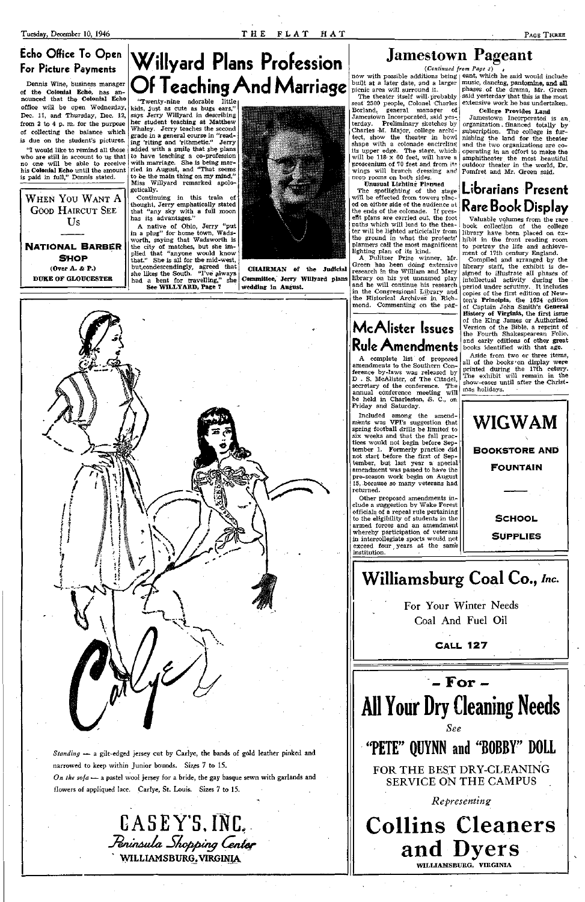### **Echo Office To Open For Picture Payments**

Dennis Wine, business manager of the **Colonial Echo,** has announced that the Colonial Echo office will be open Wednesday, Dec. 11, and Thursday, Dec. 12, from 2 to 4 p. m. for the purpose of collecting the balance which is due on the student's pictures.

WHEN YOU WANT A GOOD HAIRCUT SEE Us

"I would like to remind all those who are still in account to us that no one will be able to receive his **Colonial Echo** until the amount is paid in full," Dennis stated.

**NATIONAL BARBER SHO P (Over A. & P.) DUKE OF GLOUCESTER** 



"Twenty-nine adorable little kids, just as cute as bugs ears," says Jerry Willyard in describing her student teaching at Matthew Whaley. Jerry teaches the second grade in a general course in "reading 'riting and 'rithmetic." Jerry added with a smile that she plans to have teaching a co-profession with marriage. She is being married in August, and "That seems to be the main thing on my mind," Miss Willyard remarked apologetically.

CASEY'S, INC. *-/eninAtua Chopping Center '* WILLIAMSBURG.VIRGINU

now with possible additions being | eant, which he said would include built at a later date, and a larger music, dancing, pantomine, **and all**  picnic area will surround it.

The theater itself will probably seat 2500 people, Colonel Charles Borland, general manager of Jamestown Incorporated, said yesterday. Preliminary sketches by Charles M. Major, college architect, show the theater in bowl shape with a colonade encircling its upper edge. The stage, which will be  $118 \times 60$  feet, will have a proscenium of 70 feet and from its wings will branch dressing and prop rooms on both sides.

Continuing in this train of thought, Jerry emphatically stated that "any sky with a full moon has its advantages."

A native of Ohio, Jerry "put in a plug" for home town, Wadsworth, saying that Wadsworth is the city of matches, but she implied that "anyone would know that." She is all for the mid-west, but,condescendingly, agreed that she likes the South. "I've plways had a bent for travelling," she **See WILLYARD, Page 7** 



**CHAIRMAN of the Judicial Committee, Jerry Willyard plans wedding in August.** 

*Standing* — a gilt-edged jersey cut by Carlye, the bands of gold leather pinked and narrowed to keep within Junior bounds. Sizes 7 to 15. *On the sofa* — a pastel wool jersey for a bride, the gay basque sewn with garlands and flowers of appliqued lace. Carlye, St. Louis. Sizes 7 to 15.

## **Jamestown Pageant**

*{Continued from Page i)* 

Unusual Lighting- Planned The spotlighting of the stage will be effected from towers placed on either side of the audience at the ends of the colonade. If present plans are carried out, the foot paths which will lead to the theater will be lighted articicially from library have been placed on exthe ground in what the projects' planners call the most magnificent lighting plan of its kind.

A Pulitzer Prize winner, Mr. Green has been doing extensive research in the William and Mary library on his yet unnamed play and he will continue his research in the Congressional Library and the Historical Archives in Richmond. Commenting on the pag-

## **McAIister Issues Rule Amendments**

A complete list of proposed amendments to the Southern Conference by-laws was released by D . S. McAIister, of The Citadel, secretary of the conference. The annual conference meeting will be held in Charleston, S. C, on Friday and Saturday.

Included among the amendments was VPI's suggestion that spring football drills be limited to six weeks and that the fall practices would not begin before September 1. Formerly practice did not start before the first of September, but last year a special amendment was passed to have the pre-season work begin on August 15, because so many veterans had returned.

Other proposed amendments include a suggestion by Wake Forest officials of a repeal rule pertaining to the eligibility of students in the armed forces and an amendment whereby participation of veterans in intercollegiate sports would not exceed four years at the same institution.

phases of the drama, Mr. Green said yesterday that this is the most extensive work he has undertaken.

#### College Provides Land

Jamestown Incorporated is an organization . financed totally by subscription. The college is furnishing the land for the theater and the two organizations are cooperating in an effort to make the amphitheater the most beautiful outdoor theater in the world, Dr. Pomfret and Mr. Green said.

## **Librarians Present Rare Book Display**

Valuable volumes from the rare book collection of the college hibit in the front reading room to portray the life and achievement of 17th century England.

Compiled and arranged by the library staff, the exhibit is designed to illustrate all phases of intellectual activity during the period under scrutiny. It includes copies of the first edition of Newton's Principia, the 1624 edition of Captain John Smith's **General**  History of Virginia, the first issue of the King James or Authorized Version of the Bible, a reprint of the Fourth Shakespearean Folio, and early editions of other great books identified with that age.

Aside from two or three items, all of the books on display were printed during the 17th cetury. The exhibit will remain in the show-cases until after the Christmas holidays.







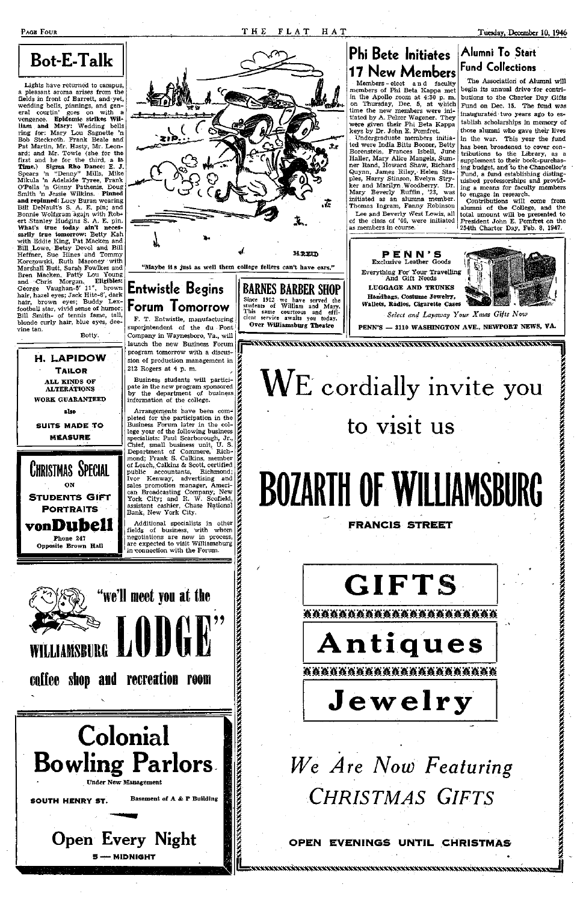# **Bot-E-Talk**

Lights have returned to campus, a pleasant aroma arises from the fields in front of Barrett, and yet, wedding bells, pinnings, and general courtin' goes on with a vengence. **Epidemic strikes Wil**liam and Mary: Wedding bells ring for: Mary Lou Sagnette 'n Bob Steckroth. Frank Beale and Pat Martin, Mr. Hasty, Mr. Leonard; and Mr. Towle (she for the first and he for the third, **a la Time.)** Sigma **Rho Dance:** E. J. Spears 'n "Denny" Mills, Mike Mikula 'n Adelaide Tyree, Frank O'Pella 'n Ginny Pathenis, Doug Smith 'n Jessie Wilkins. **Pinned and repinned:** Lucy Buran wearing Bill DeNault's S. A. E. pin; and Bonnie Wolfgram agajn with Robert Stanley Hudgins S. A. E. pin. **What's true today ain't necessarily true tomorrow:** Betty Kah with Eddie King, Pat Macken and Bill .Lowe, Betsy Devol and Bill Heffner, Sue Hines and Tommy Korczowski, Ruth Maroney with Marshall Butt, Sarah Fowlkes and Bren Macken, Patty Lou Young and Chris Morgan. **Eligibles:**  George Vaughan-5' 11", brown hair, hazel eyes; Jack Hite-6', dark hair, brown eyes; Buddy LexfootbaU star, vivid sense of humor; Bill Smith- of tennis fame, tall, blonde curly hair, blue eyes, deevine tan. Botty.

> **H. LAPIDOW TAILOR ALL KINDS OF ALTERATIONS WORK GUARANTEED also SUITS MADE TO MEASUR E**

CHRISTMAS SPECIAL

ON **STUDENTS GIFT PORTRAITS** 

**vonDubell Phone 247 Opposite Brown Hall** 

### **P E N N' S**  Exclusive reather  $\text{Gross}$  I  $\mathbb{E}$  ,  $\mathbb{E}$ Everything For Your Travelling

WILLIAMSBURG



## **Phi Bete Initiates 17 New Members**

Members - elect an d faculty members of Phi Beta Kappa met in the Apollo room at 4:30 p. m. on Thursday, Dec. 5, at which time the new members were initiated by A. Pelzer Wagener. They were given their Phi Beta Kappa keys by Dr. John E. Pomfret.

. Undergraduate members initiated were India Bitts Boozer, Betty Borenstein, Frances Isbell, June Haller, Mary Alice Mangels, Sumner Rand, Howard Shaw, Richard Quynn, James Riley, Helen Staples, Harry Stinson, Evelyn Stryker and Marilyn.Woodberry. Dr. Mary Beverly Ruffin, '23, was initiated as an alumna member. Thomas Ingram, Fanny Robinson Lee and Beverly West Lewis, all of the class of '46, were initiated

### **Alumni To Start Fund Collections**

The Association of Alumni will begin its annual drive for contributions to the Charter Day Gifts Fund on Dec. 15. The fund was inaugurated two years ago to esmaugurateu two years ago to es-<br>tablish scholarships in memory of those street sings in memory or those alumni who gave their lives in the war. This year the fund has been broadened to cover contributions to the Library, as a supplement to their book-purchasing budget, and to the Chancellor's Fund, a fund establishing distinguished professorships and providing a means for faculty members to engage in research.



Contributions will **come** from alumni of the College, and the total amount will be presented to President John E. Pomfret on the 254th Charter Day, Feb. 8, **1947.** 

**LUGGAGE AND TRUNKS Handbags, Costume Jewelry, Wallets, Radios, Cigarette Cases** 



PENN'S -- 3110 WASHINGTON AVE., NEWPORT NEWS, VA.

WE cordially invite you

to visit us

**BOZARTH OF WILLIAMSBURG** 

**FRANCIS STREET** 

**GIFTS** 

*AAAAAAAAAAAAAAAAAAAAA* 

*We Are Now Featuring CHRISTMAS GIFTS* 

**OPEN EVENINGS UNTIL CHRISTMAS**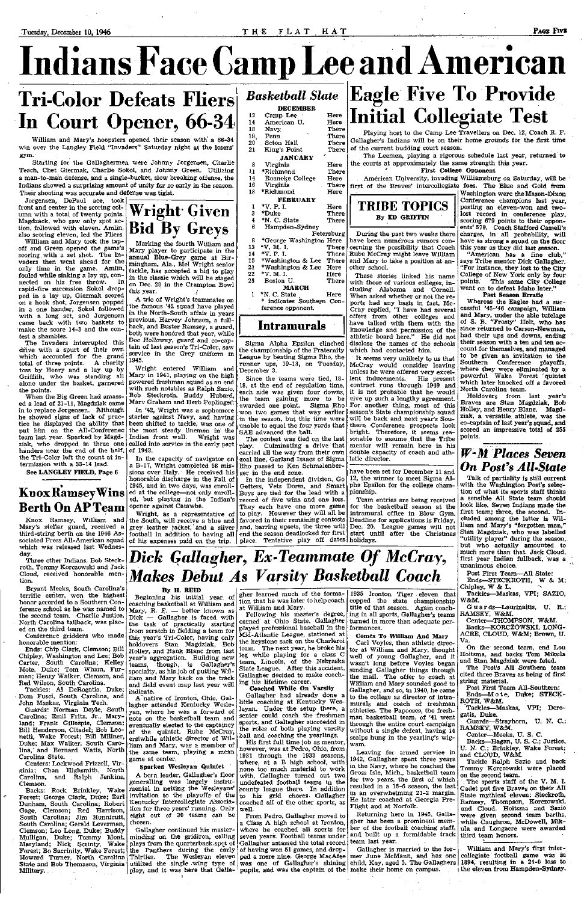Indians Face Gamp Lee and American

# Tri-Color Defeats Fliers In Court Opener, 66-34

William and Mary's hoopsters opened their season with a 66-34 win over the Langley Field "Invaders" Saturday night at the losers' gym.

Starting for the Gallaghermen were Johnny Jorgensen, Charlie Teach, Chet Giermak, Charlie Sokol, and Johnny Green. Utilizing a man-to-man defense, and a single-bucket, slow breaking offense, the Indians showed a surprising amount of unity for so early in the season. Their shooting was accurate and defense **was** tight.

Jorgensen, DePaul ace, took front and center in the scoring column with a total of twenty points. Magdzack, who saw only spot action, followed with eleven. Amlin, also scoring eleven, led the Fliers.

William and Mary took the tapoff and Green opened the game's scoring. with a set shot. The Invaders then went ahead for the only time in the game. Amlin, fouled while sinking a lay up, connected on his free throw. In rapid-fire succession Sokol dropped in a lay up, Giermak scored on a hook shot, Jorgensen popped in a one hander, Sokol followed with a long set, and Jorgensen

Conference gridders who made honorable mention: norable mention:<br>Ends: Chip Clark, Clemson; Bill Holley, and Hank Blanc from last

Chipley, Washington and Lee; Bob Chipley, Washington and Lee; Bob year's aggregation. Building new<br>Carter, South Carolina; Kelley teams, though, is Gallagher's

came back with two baskets to make the score 14-3 and the contest a shambles. The Invaders interrupted this drive with a spurt of their own which accounted for the grand<br>total of three points. A charity total of three points. toss by Henry and a lay up by Griffith, who was standing all alone under the basket, garnered

the points. When the Big Green had amassed a lead of 21-11, Magdziak came in to replace Jorgensen. Although he showed signs of lack of practice he displayed the ability that put him on the All-Conferenec team last year. Sparked by Magdhanders near the end of the half, of 1943. the Tri-Color left the count at in-

Marking the fourth William and Mary player to participate in the annual Blue-Grey game at Birmingham, Ala., Mel Wright senior tackle, has accepted **a** bid to play in the classic which will be staged on Dec. 28 in the Crampton Bowl this year.

termission with a 33-14 lead. **See LANGLEY FIELD,** Page **6** 

### **Knox Ramsey Wins Berth On AP Team**

Knox Ramsey, William and Mary's stellar guard, received a third-string berth on the 1946 Associated Press All-American squad which was released last Wednesday.

Three other Indians, Bob Steckroth, Tommy Korczowski and Jack Cloud, received honorable mention.

ziak, who dropped in three one called into service in the early part In '42, Wright was a sophomore starter against Navy, and having been shifted to tackle, was one of the most steady linemen in the Indian front wall. Wright was

Bryant Meeks, South Carolina's terrific center, won the highest honor accorded to a Southern Conference school as he was named to the second team. Charlie Justice, North Carolina tailback, was placed on the third team.

Mote, Duke; Tom Wham, Furman; Henry Walker, Clemson, and Red Wilson, South Carolina.

Tackles: Al DeRogatis, Duke; Dom Fusci, South Carolina, and John Maskas, Virginia Tech.

Guards: Norman Doyle, South Carolina; Emil Fritz, Jr., Maryland; Frank Gillespie, Clemson; Bill Henderson, Citadel; Bob Leonetti, Wake Forest; Bill Millner, Duke; Max Walker, South Carolina,' and Bernard Watts, North Carolina State.

Centers: Lockwood Frizzell, Virginia; Chan Highsmith, North Carolina, and Ralph Jenkins, Clemson.

Getters, Vets Dorm, and Smart Boys are tied for the lead with a record of five wins and one loss.

Backs: Rock Brinkley, Wake Forest; George Clark, Duke; Earl Dunham, South Carolina; Robert Gage, Clemson; Red Harrison, South Carolina; Jim Hunnicutt, South Carolina; Gerald Leverman, Clemson; Leo Long, Duke; Buddy Mulligan, Duke; Tommy Mont, Maryland; Nick Scrinty, Wake Forest; Bo Sacrinity, Wake Forest; Howard Turner, North Carolina State and Bob Thomason, Virginia Military.



A trio of Wright's teammates on the famous '42 squad have played in the North-South affair in years previous, Harvey Johnson, a fullback, and Buster Ramsey, a guard, both were honored that year, while Doc Holloway, guard and co-captain of last season's Tri-Color, saw service in the Grey uniform in 1945.

Wright entered William and Mary in 1941, playing on the high powered freshman squad as an end with such notables as Ralph Sazio, Bob Steckroth, Buddy Hubard, Marv Graham and Herb Poplinger:

In the capacity of navigator on a B-17, Wright completed 58 missions over Italy. He received his honorable discharge in the Fall of 1945, and in two days, was enrolled at the college—not only enrolled, but playing in the Indian's opener against Catawba.

Wright, as a representative of the South, will receive a blue and grey leather jacket, and a silver football in addition to having all

Gallagher continued his masterminding on the gridiron, calling plays from the quarterback, spot of the Panthers during the early of having won 51 games, and drop-Thirties. The Wesleyan eleven utilized the single wing type of utilized the single wing type of was one of Gallagher's shining<br>play, and it was here that Galla-pupils, and was the captain of the

 $\overline{\phantom{a}}$ 

4 6

Following his master's degree, earned at Ohio State, Gallagher played professional baseball in the Mid-Atlantic League, stationed at the keystone sack on the Charleroi team. The next year, he broke his leg while playing for a class C eam, Lincoln, of the Nebraska

25

- 12 14 18 19, 20 21 8 11 14 **DECEMBER**  Camp Lee American U. Navy Penn Seton Hall King's Point **JANUARY**  Virginia \*Richmond Roanoke College
- 16 Virginia
- 18 \*Richmond
- 1 **FEBRUARY**
- 3 \*V. P. I. \*Duke

Here Here There There There There

Here There Here There Here Here

There There

- \*N. C. State
- Hampden-Sydney
- Petersburg
- 8 \*George Washington Here There
- 13 \*V. M. I. \*V. P. I.
- 14 15 \*Washington & Lee There
- 21 ^Washington & Lee There Here
- 22 •V. M. I. Here
	- Boston U.
	- **MARCH**
- 1 \*N. C. State . Here indicates Southern Conference opponent.

There

### **Intra murals**

Sigma Alpha Epsilon clinched the championship of the Fraternity League by beating Sigma Rho, the runner ups, 19-18, on Tuesday, December 3.



Since the teams were tied, 18- 18, at the end of regulation time, each side was given four downs, the team gaining more to be awarded one point. Sigma Rho won two games that way earlier in the season, but this time were unable to equal the four yards that SAE advanced the ball.

The contest was tied on the last

play. Culminating a drive that carried all the way from their own goal line, Garland Isaacs of Sigma Rho passed to Ken Schmalenberger in the end zone.

pupils, and was the captain of the make their home on campus. Gallagher is married to the former June McMann, and has one

In the independent division, Go

Playing host to the Camp Lee Travellers on Dec. 12, Coach R. F. Gallagher's Indians will be on their home grounds for **the first time**  of the current budding court season.

### of his expenses paid on the trip. place. Tentative play off dates holidays. They each have one more game to play. However they will all be favored in their remaining contests<br>and, barring upsets, the three will and, barring upsets, the three will end the season deadlocked for first *Dick Gallagher, Ex-Teammate Of McCray,*

The Leemen, playing a rigorous schedule last year, returned to the courts at approximately the same strength this year.

#### **First College Opponent**

American University, invading Williamsburg on Saturday, **will be**  first of the Braves' intercollegiate foes. **The Blue and Gold from** 



During the past two weeks there have been numerous rumors concerning the possibility that Coach Rube McCray might leave William and Mary to take a position at another school.

These stories linked his name with those of various colleges, including Alabama and Cornell. When asked whether or not the reports had any basis in fact, Mc-Cray replied, "I have had several offers from other colleges and have talked with them with the knowledge and permission of the athletic board here." He did not disclose the names of the schools which had contacted him.

It seems very unlikely to us that McCray would consider leaving unless he were offered very excellent inducements. His present contract runs through 1949 and it is not probable that he would give up such a lengthy agreement. For. another thing, most of this season's State championship squad will be back and next year's Southern Conference prospects look bright. Therefore, it seems reasonable to assume that the Tribe mentor will remain here in his double capacity of coach and athletic director.

have been set for December 11 and 12, the winner to meet Sigma Alpha Epsilon for the college championship.

Team entries are being received for the basketball season at the intramural office in Blow Gym. Deadline for applications is Friday, Dec. 20. League games will not start until after the Christmas

*Makes Debut As Varsity Basketball Coach* 

**By H. REID**  Beginning his initial year, of coaching basketball at William and Mary, R. F. — better known as Dick — Gallagher is faced with the task of practically starting from scratch in fielding a team for this year's Tri-Color, having only Holley, and Hank Blanc from last

teams, though, is Gallagher's specialty, as his job of putting William and Mary back on the track and field event map last year will indicate.

A native of Ironton, Ohio, Gallagher attended Kentucky Wesleyan, where he was a forward of note on the basketball team and eventually elected to the captaincy of the quintet. Rube McCray, erstwhile athletic director of William and Mary, was a member of the same team, playing- a mean game at center.

**Sparked Wesleyan Quintet** 

A born leader, Gallagher's floor generalling was largely instrumental in netting the Wesleyans' invitation to the playoffs of the Kentucky Intercollegiate Association for three years' running. Only eight out of 30 teams can be chosen.

gher learned much of the formation that he was later to help cbach

Washington **were the Mason-Dixon**  Conference champions **last year,**  posting an eleven-won **and** twolost record in **conference play,**  scoring **679** points to their opponents' 579. Coach **Stafford Cassell's**  charges, in all probability, will have as strong **a** squad **on the floor**  this year as they **did** last season.

at William and Mary.

State League. After this accident, Gallagher decided to make coaching his lifetime career.

**Coached While On Varsity**  Gallagher had already dene a little coaching at Kentucky Wesleyan. Under the setup there, a senior could coach the freshman sports, and Gallagher succeeded in the roles of both playing varsity ball and coaching the yearlings. His first full time job as mentor, however, was at Pedro, Ohio, from 1931 through the 1933 seasons, where, at a B high school, with none too much material to work with, Gallagher turned out two undefeated football teams in the county league there. In addition to his grid chores Gallagher coached all of the other sports, as well.

From Pedro, Gallagher moved to a Class A high school at Ironton, where he coached all sports for seven years. Football teams under Gallagher amassed the total record ped a mere nine. George MacAfee

1935 Ironton Tiger eleven that copped the state championship title of that season. Again coaching in all sports, Gallagher's teams turned in more than adequate per-

formances.

**Comes To William And Mary**  Carl Voyles, then athletic director at William and Mary, thought well of young Gallagher, and it

wasn't long before Voyles began sending Gallagher things through the mail. The offer to coach at William and Mary sounded good to Gallagher, and so, in 1940, he came to the college as director of intramurals and coach of freshman athletics. The Papooses, the freshman basketball team, of '41 went through the entire court campaign without a single defeat, having 14 scalps hung in the yearling's wigwam.

Leaving for armed service in 1942, Gallagher spent three years in the Navy, where he coached the Gross Isle, Mich., basketball team for two years, the first of which resulted in" a 16-6 season, the last in an overwhelming 21-2 margin. He later coached at Georgia Pre-Flight and at Norfolk.

Returning here in 1945, Gallagher has been a prominent member of the football coaching staff, and built up a formidable track team last year.

"American has **a** fine **club,"**  says Tribe mentor **Dick Gallagher.**  "For instance, **they lost to the City**  College of New **York only by four**  points. This same **City College**  went on to **defeat Idaho later."** 

#### **Past Season Erratic**

Whereas the Eagles **had** a successful >45-'46 campaign, **William**  and Marv, under **the able tutelage**  of S. B. "Frosty" **Holt, who has**  since returned to **Carson-Newman,**  had their ups **and downs, ending**  their season with **a** ten **and** ten account for themselves, **and managed**  to be given **an** invitation to the Southern **Conference playoffs,**  where they were eliminated by **a**  powerful Wake Forest **'quintet**  which later knocked off a favored North Carolina team.

Holdovers from last year's Braves are Stan Magdziak, **Bob**  Holley, and Henry Blanc. Magdziak, **a** versatile, athlete, **was** the co-captain of last year's squad, **and**  scored an impressive total of **255**  points.

### *W-M Places Seven On Post's All-State*

child, Kay, aged 5. The Gallaghers **1894,** resulting in **a 24-0** loss to William and Mary's first intercollegiate football game **was** in i the eleven from **Hampden-Sydney.** 

Talk of partiality is **still current**  with the Washington Post's selection of what its sports staff **thinks**  a sensible **All State team should**  look like. Seven Indians **made the**  first team; three, the second. Included among the latter is William and Mary's "forgotten man," Stan Magdziak, who **was labelled**  "utility player" during the season, but who actually amounted to much more than that. **Jack** Cloud, first year Indian fullback, **was** a unanimous choice.

Post First Team-—All State: Ends—**STECKROTH, W** & M;

Chipley, W & L. Tackles—Maskas, **VPI; SAZIO,** 

W&M. Guards—Laurinaitis, U. R.; RAMSEY, W&M.

Center—THOMPSON, W&M. Backs—**KORCZOWSKI, LONG-**ACRE, CLOUD, W&M; **Brown, U.** 

Va. On the second team, **end** Lou Hoitsma, and backs **Tom Mikula**  and Stan Magdziak were feted. The Post's All Southern team cited three Braves as being of first string material. Post First Team All-Southern: Ends—M o t e, Duke; STECK-ROTH, W&M. Tackles—Maskas, **VPI; Dero**gatis, Duke. Guards-Strayhorn, U. N. C.; RAMSEY, W&M. Center—Meeks, U. S. C. Backs—Hagan, U. S. C ; Justice, U. N. C ; Brinkley, Wake Forest; and CLOUD, W&M. Tackle Ralph Sazio and back Tommy Korczowski were placed on the second team. . The sports staff of the V. M. I. Cadet put five Braves on their All State mythical eleven: **Steckroth,**  Ramsey, Thompson, Korczowski, and Cloud. Hoitsma **and** Sazio were given second **team berths,**  while Caughron, McDowell, Mikula and Longacre were **awarded**  third team honors.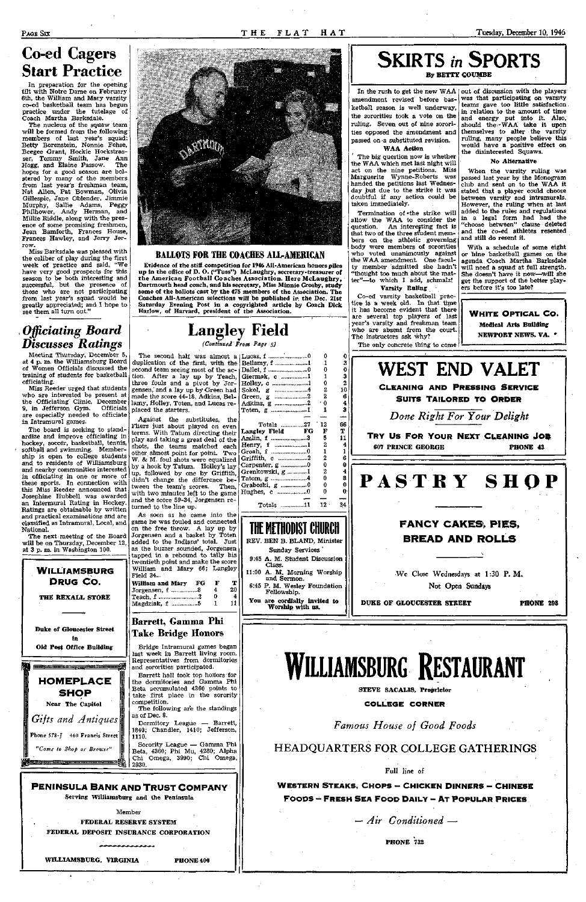## Co-ed Cagers Start Practice

In preparation for the opening tilt with Notre Dame on February 6th, the William and Mary varsity co-ed basketball team has begun practice under the tutelage of Coach Martha Barksdale.

Miss Barksdale was pleased with the caliber of play during the first week of practice and said, "We have very good prospects for this season to be both interesting and successful, but the presence of those who are not participating from last year's squad would be greatly appreciated; and I hope to see them all turn out."

The nucleus of the squaw team will be formed from the following members of last year's squad: Betty Borenstein, Nonnie Fehse, Beegee Grant, Hockie Hockstrasser, Tommy Smith, Jane Ann Hogg, and Elaine Passow. The hopes for a good season are bolstered by many of the members from last year's freshman team, Nat Allen, Pat Bowman, Olivia Gillespie, Jane Oblender, Jimmie Murphy, Sallie Adams, Peggy Philhower, Andy Herman, and Millie Riddle, along with the presence of some promising freshmen, Jean Bamforth, Frances House, Frances Hawley, and Jerry Jerrow.

### **•** *Officiating Board Discusses Ratings*

Meeting Thursday, December 5, at 4 p. m. the Williamsburg Board of Women Officials discussed the training of students for basketball officiating.

Miss Reeder urged that students who are interested be present at the Officiating Clinic, December | lamy, Holley, Toten, and Lucas re-9, in Jefferson Gym. Officials are especially needed to officiate in Intramural games.

The board is seeking to standardize and improve officiating in hockey, soccer, basketball, tennis, softball and swimming. Membership is open to college students and to residents of Williamsburg and nearby communities interested in officiating in one or more of these sports. In connection with this Miss Reeder announced that Josephine Hubbell was awarded an Interniural Rating in Hockey. Ratings are obtainable by written and practical examinations and are classified as Intramural, Local, and National.

The next meeting of the Board will be on Thursday, December 12, at 3 p. m. in Washington 100.





### BALLOTS FOR THE COACHES ALL-AMERICAN

Evidence of the stiff competition for 1946 All-American honors piles up in the office of D. O. ("Tuss") McLaughry, secretary-treasurer of the American Football Coaches Association. Here McLaughry, Dartmouth head coach, and his secretary, Miss Minnie Crosby, study some of the ballots cast by the 475 members of the Association. The Coaches All-American selections will be published in the Dec. 21st Saturday Evening Post in a copyrighted article by Coach Dick Harlow, of Harvard, president of the Association.

# Langley Field

*(Continued From Page 5)* 

Giermak, c  $\begin{bmatrix} 1 \\ 1 \\ 0 \end{bmatrix}$  1 Holley, c  $\ldots$  1 0<br>Sokol.  $\sigma$   $\ldots$  4 2 Sokol, g 4 2 Green, g .2 2 Adkins, g ........................2  $\cdot 0$ <br>Toten, g .......................1 1 Toten, g .....................1

Amlin, f ........................3 5<br>Henry. f ....................1 2 Henry, f ....................1 Groah, f 0 1 1 Griffith, c  $\ldots$  2 2<br>Carpenter, g  $\ldots$  0 0 Carpenter,  $g$  ....................0 0<br>Grenkowski,  $g$  .............1 2

Graboski, g ................0 Hughes, c ..................0

The second half was almost a Lucas, f 0 0 duplication of the first, with the Bellamy, f ....................1 1 second team seeing most of the  $ac$ - Dallet, f .........................0 0 tion. After a lay up by Teach, three fouls and a pivot by Jorgensen,' and a lay up by Green had made the score 44-18, Adkins, Belplaced the starters.

Termination of  $\cdot$ the strike will allow the WAA to consider the question. An interesting fact is that two of the three student members on the athletic governing body were members of sororities who voted unanimously against the WAA amendment. One faculty member admitted she hadn't "thought too much about the matter"—to which I add, schmalz!

Co-ed varsity basketball practice is a week old. In that time it has become evident that there are several top players of last year's varsity and freshman team who are absent from the court. The instructors ask why? The only concrete thing to come

In the rush to get the new WAA  $\vert$  out of discussion with the players was that participating on varsity teams gave too little satisfaction. in relation to the amount of time and energy put into it. Also, should the «WAA take it upon themselves to alter the varsity ruling, many people believe this would have a positive effect on the disinterested Squaws.

Against the substitutes, the Fliers just about played on even terms. With Tatum directing their play and taking a great deal of the shots, the teams matched each other almost point for point. Two W. & M. foul shots were equalized by a hook by Tatum. Holley's lay up, followed by one by Griffith, didn't change the difference between the team's scores. Then, with two minutes left to the game and the score 59-34, Jorgensen returned to the line up.

As soon as he came into the game he was fouled and connected on the free throw. A lay up by Jorgensen and a basket by Toten added to the Indians' total. Just as the buzzer sounded, Jorgensen tapped in a rebound to tally his twentieth point and make the score William and Mary 66; Langley Field 34...

| Barrett, Gamma Phi |    |   |                 |
|--------------------|----|---|-----------------|
| Magdziak, f 5      |    | 1 | 11              |
| Teach, f 2         |    | 0 | 4               |
| Jorgensen, f 8     |    | 4 | 20 <sub>1</sub> |
| William and Mary   | FG | F | т               |
| Field 34.          |    |   |                 |

Take Bridge Honors

Bridge Intramural games began last week in Barrett living room. Representatives from dormitories



### **PENINSULA BANK AND TRUST COMPANY**

Serving Williamsburg and the Peninsula

Member

FEDERAL RESERVE SYSTEM

FEDERAL DEPOSIT INSURANCE CORPORATION

WILLIAMSBURG, VIRGINIA PHONE 400

THE METHODIST CHURCH

Sunday Services '

Class.

11:00 A. M. Morning Worship and Sermon. 6:45 P. M. Wesley Foundation Fellowship. You are cordially invited to Worship with us.

**SKIRTS** *in* **SPORTS**  By BETTY GOUMBE

amendment revised before basketball season is well underway, the sororities took a vote on the ruling. Seven out of nine sororities opposed the amendment and passed on a substituted revision, WAA Action

The big question now is whether the WAA which met last night will act on the nine petitions. Miss Marguerite Wynne-Roberts was handed the petitions last Wednesday but due to the strike it was doubtful if any action could be taken immediately.

Varsity Ruling

0 3 0 3 2 10 6 4 3 **Totals .............27 ' 12 66**<br> **Ex Field FG F T** Langley Field FG F T<br>Amlin. f ......................3 5 11 Grenkowski, g ............ 1 2 4<br>Tatom, g .........................4 0 8 Tatom, g ........................4 0 8<br>Graboski, g .................0 0 0 Totals ..............11 12 34 REV. BEN B. BLAND, Minister 9:45 A. M. Student Discussion **WEST END VALET**  CLEANING AND PRESSING SERVICE SUITS TAILORED TO ORDER *Done Right For Your Delight*  TRY US FOR YOUR NEXT CLEANING **JOB**  607 PRINCE GEORGE **PHONE** 43 **PASTR Y SHO P FANCY CAKES, PIES, BREAD AND ROLLS**  We Close Wednesdays at 1:30 P.M. Not Open Sundays DUKE OF GLOUCESTER STREET **PHONE** 29S

### WIrres

#### No Alternative

When the varsity ruling was passed last year by the Monogram club and sent on to the WAA it stated that a player could choose between varsity and intramurals. However, the ruling when at last added to the rules and regulations in a legal form had had the "choose between" clause deleted and the co-ed athletes resented and still do resent it.

With a schedule of some eight or nine basketball games on the agenda Coach Martha Barksdale will need a squad at full strength. She doesn't have it now—will she get the support of the better players before it's too late?

**WHITE OPTICAL** CO. Medical Arts Building NEWPORT NEWS. VA. »

## **WILLIAMSBURG RESTAURANT**

STEVE SACALIS, Proprietor

**COLLEGE CORNE R** 

*Famous House of Good Foods* 

### HEADQUARTERS FOR COLLEGE GATHERINGS

Full line of

WESTERN STEAKS, CHOPS - CHICKEN DINNERS - CHINESE

FOODS - FRESH SEA FOOD DAILY - AT POPULAR PRICES

— *Air Conditioned* —

PHONE **732**